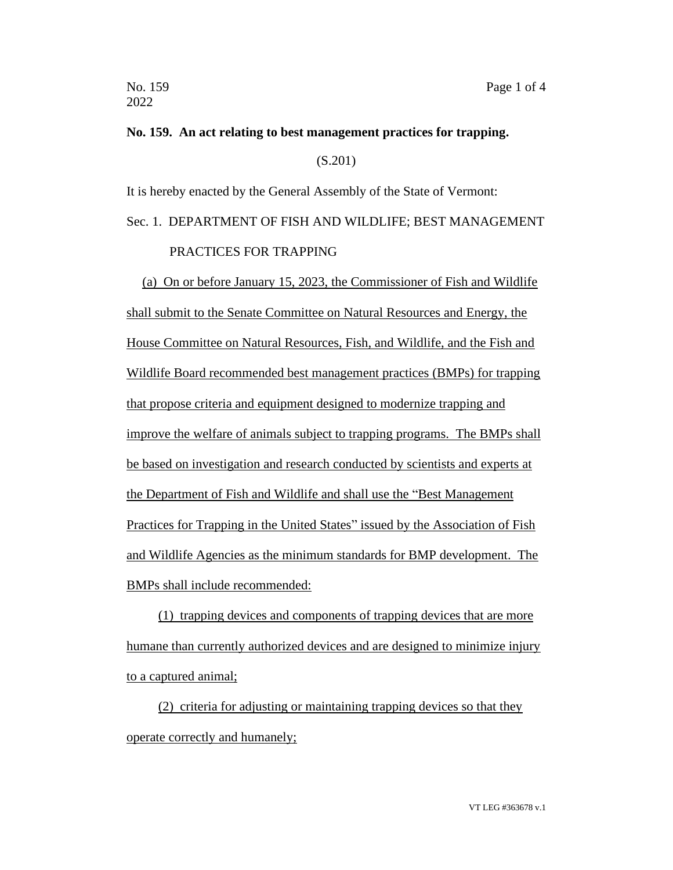## **No. 159. An act relating to best management practices for trapping.**

(S.201)

It is hereby enacted by the General Assembly of the State of Vermont:

## Sec. 1. DEPARTMENT OF FISH AND WILDLIFE; BEST MANAGEMENT PRACTICES FOR TRAPPING

(a) On or before January 15, 2023, the Commissioner of Fish and Wildlife shall submit to the Senate Committee on Natural Resources and Energy, the House Committee on Natural Resources, Fish, and Wildlife, and the Fish and Wildlife Board recommended best management practices (BMPs) for trapping that propose criteria and equipment designed to modernize trapping and improve the welfare of animals subject to trapping programs. The BMPs shall be based on investigation and research conducted by scientists and experts at the Department of Fish and Wildlife and shall use the "Best Management Practices for Trapping in the United States" issued by the Association of Fish and Wildlife Agencies as the minimum standards for BMP development. The BMPs shall include recommended:

(1) trapping devices and components of trapping devices that are more humane than currently authorized devices and are designed to minimize injury to a captured animal;

(2) criteria for adjusting or maintaining trapping devices so that they operate correctly and humanely;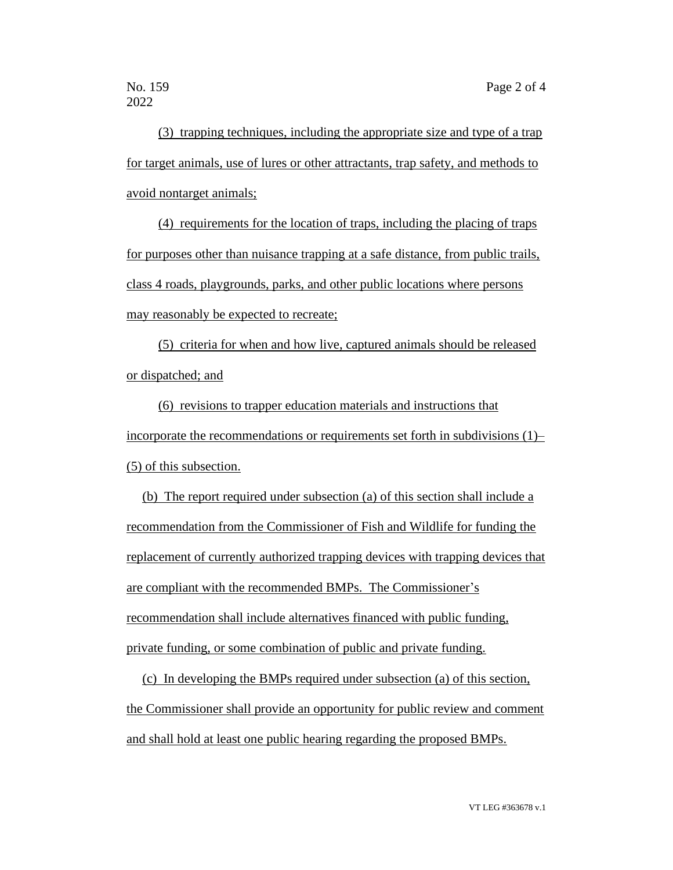(3) trapping techniques, including the appropriate size and type of a trap for target animals, use of lures or other attractants, trap safety, and methods to avoid nontarget animals;

(4) requirements for the location of traps, including the placing of traps for purposes other than nuisance trapping at a safe distance, from public trails, class 4 roads, playgrounds, parks, and other public locations where persons may reasonably be expected to recreate;

(5) criteria for when and how live, captured animals should be released or dispatched; and

(6) revisions to trapper education materials and instructions that incorporate the recommendations or requirements set forth in subdivisions (1)– (5) of this subsection.

(b) The report required under subsection (a) of this section shall include a recommendation from the Commissioner of Fish and Wildlife for funding the replacement of currently authorized trapping devices with trapping devices that are compliant with the recommended BMPs. The Commissioner's recommendation shall include alternatives financed with public funding, private funding, or some combination of public and private funding.

(c) In developing the BMPs required under subsection (a) of this section, the Commissioner shall provide an opportunity for public review and comment and shall hold at least one public hearing regarding the proposed BMPs.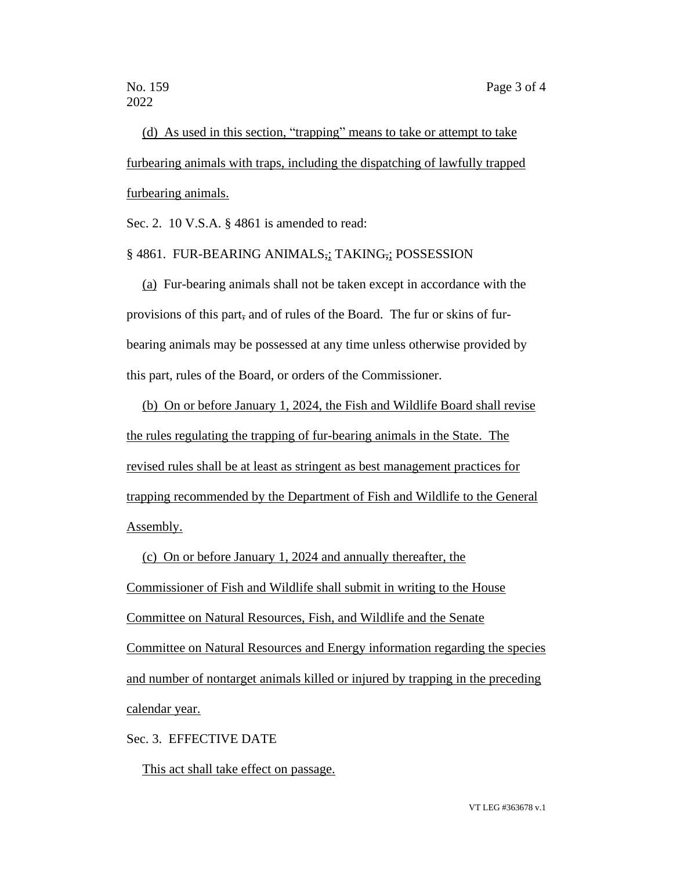(d) As used in this section, "trapping" means to take or attempt to take furbearing animals with traps, including the dispatching of lawfully trapped furbearing animals.

Sec. 2. 10 V.S.A. § 4861 is amended to read:

## § 4861. FUR-BEARING ANIMALS,; TAKING,; POSSESSION

(a) Fur-bearing animals shall not be taken except in accordance with the provisions of this part, and of rules of the Board. The fur or skins of furbearing animals may be possessed at any time unless otherwise provided by this part, rules of the Board, or orders of the Commissioner.

(b) On or before January 1, 2024, the Fish and Wildlife Board shall revise the rules regulating the trapping of fur-bearing animals in the State. The revised rules shall be at least as stringent as best management practices for trapping recommended by the Department of Fish and Wildlife to the General Assembly.

(c) On or before January 1, 2024 and annually thereafter, the Commissioner of Fish and Wildlife shall submit in writing to the House Committee on Natural Resources, Fish, and Wildlife and the Senate Committee on Natural Resources and Energy information regarding the species and number of nontarget animals killed or injured by trapping in the preceding calendar year.

Sec. 3. EFFECTIVE DATE

This act shall take effect on passage.